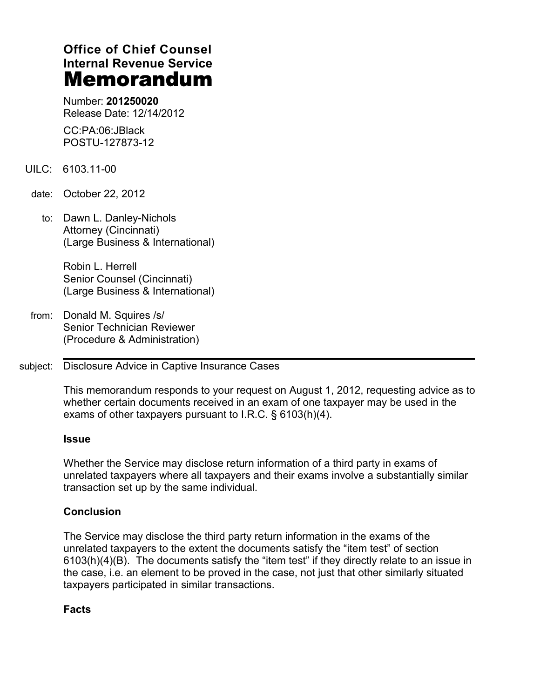# **Office of Chief Counsel Internal Revenue Service** Memorandum

Number: **201250020** Release Date: 12/14/2012

CC:PA:06:JBlack POSTU-127873-12

- UILC: 6103.11-00
- date: October 22, 2012
	- to: Dawn L. Danley-Nichols Attorney (Cincinnati) (Large Business & International)

Robin L. Herrell Senior Counsel (Cincinnati) (Large Business & International)

from: Donald M. Squires /s/ Senior Technician Reviewer (Procedure & Administration)

subject: Disclosure Advice in Captive Insurance Cases

This memorandum responds to your request on August 1, 2012, requesting advice as to whether certain documents received in an exam of one taxpayer may be used in the exams of other taxpayers pursuant to I.R.C. § 6103(h)(4).

#### **Issue**

Whether the Service may disclose return information of a third party in exams of unrelated taxpayers where all taxpayers and their exams involve a substantially similar transaction set up by the same individual.

#### **Conclusion**

The Service may disclose the third party return information in the exams of the unrelated taxpayers to the extent the documents satisfy the "item test" of section 6103(h)(4)(B). The documents satisfy the "item test" if they directly relate to an issue in the case, i.e. an element to be proved in the case, not just that other similarly situated taxpayers participated in similar transactions.

#### **Facts**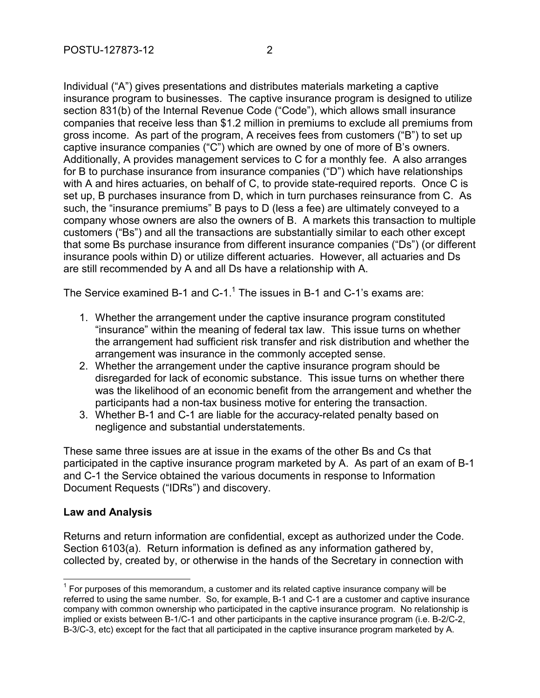Individual ("A") gives presentations and distributes materials marketing a captive insurance program to businesses. The captive insurance program is designed to utilize section 831(b) of the Internal Revenue Code ("Code"), which allows small insurance companies that receive less than \$1.2 million in premiums to exclude all premiums from gross income. As part of the program, A receives fees from customers ("B") to set up captive insurance companies ("C") which are owned by one of more of B's owners. Additionally, A provides management services to C for a monthly fee. A also arranges for B to purchase insurance from insurance companies ("D") which have relationships with A and hires actuaries, on behalf of C, to provide state-required reports. Once C is set up, B purchases insurance from D, which in turn purchases reinsurance from C. As such, the "insurance premiums" B pays to D (less a fee) are ultimately conveyed to a company whose owners are also the owners of B. A markets this transaction to multiple customers ("Bs") and all the transactions are substantially similar to each other except that some Bs purchase insurance from different insurance companies ("Ds") (or different insurance pools within D) or utilize different actuaries. However, all actuaries and Ds are still recommended by A and all Ds have a relationship with A.

The Service examined B-1 and C-1.<sup>1</sup> The issues in B-1 and C-1's exams are:

- 1. Whether the arrangement under the captive insurance program constituted "insurance" within the meaning of federal tax law. This issue turns on whether the arrangement had sufficient risk transfer and risk distribution and whether the arrangement was insurance in the commonly accepted sense.
- 2. Whether the arrangement under the captive insurance program should be disregarded for lack of economic substance. This issue turns on whether there was the likelihood of an economic benefit from the arrangement and whether the participants had a non-tax business motive for entering the transaction.
- 3. Whether B-1 and C-1 are liable for the accuracy-related penalty based on negligence and substantial understatements.

These same three issues are at issue in the exams of the other Bs and Cs that participated in the captive insurance program marketed by A. As part of an exam of B-1 and C-1 the Service obtained the various documents in response to Information Document Requests ("IDRs") and discovery.

#### **Law and Analysis**

 $\overline{a}$ 

Returns and return information are confidential, except as authorized under the Code. Section 6103(a). Return information is defined as any information gathered by, collected by, created by, or otherwise in the hands of the Secretary in connection with

 $1$  For purposes of this memorandum, a customer and its related captive insurance company will be referred to using the same number. So, for example, B-1 and C-1 are a customer and captive insurance company with common ownership who participated in the captive insurance program. No relationship is implied or exists between B-1/C-1 and other participants in the captive insurance program (i.e. B-2/C-2, B-3/C-3, etc) except for the fact that all participated in the captive insurance program marketed by A.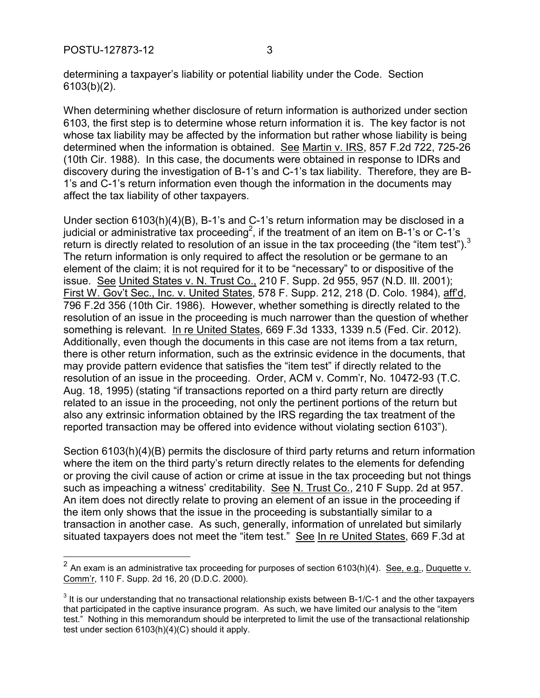$\overline{a}$ 

determining a taxpayer's liability or potential liability under the Code. Section 6103(b)(2).

When determining whether disclosure of return information is authorized under section 6103, the first step is to determine whose return information it is. The key factor is not whose tax liability may be affected by the information but rather whose liability is being determined when the information is obtained. See Martin v. IRS, 857 F.2d 722, 725-26 (10th Cir. 1988). In this case, the documents were obtained in response to IDRs and discovery during the investigation of B-1's and C-1's tax liability. Therefore, they are B-1's and C-1's return information even though the information in the documents may affect the tax liability of other taxpayers.

Under section 6103(h)(4)(B), B-1's and C-1's return information may be disclosed in a judicial or administrative tax proceeding<sup>2</sup>, if the treatment of an item on B-1's or C-1's return is directly related to resolution of an issue in the tax proceeding (the "item test").<sup>3</sup> The return information is only required to affect the resolution or be germane to an element of the claim; it is not required for it to be "necessary" to or dispositive of the issue. See United States v. N. Trust Co., 210 F. Supp. 2d 955, 957 (N.D. Ill. 2001); First W. Gov't Sec., Inc. v. United States, 578 F. Supp. 212, 218 (D. Colo. 1984), aff'd, 796 F.2d 356 (10th Cir. 1986). However, whether something is directly related to the resolution of an issue in the proceeding is much narrower than the question of whether something is relevant. In re United States, 669 F.3d 1333, 1339 n.5 (Fed. Cir. 2012). Additionally, even though the documents in this case are not items from a tax return, there is other return information, such as the extrinsic evidence in the documents, that may provide pattern evidence that satisfies the "item test" if directly related to the resolution of an issue in the proceeding. Order, ACM v. Comm'r, No. 10472-93 (T.C. Aug. 18, 1995) (stating "if transactions reported on a third party return are directly related to an issue in the proceeding, not only the pertinent portions of the return but also any extrinsic information obtained by the IRS regarding the tax treatment of the reported transaction may be offered into evidence without violating section 6103").

Section 6103(h)(4)(B) permits the disclosure of third party returns and return information where the item on the third party's return directly relates to the elements for defending or proving the civil cause of action or crime at issue in the tax proceeding but not things such as impeaching a witness' creditability. See N. Trust Co., 210 F Supp. 2d at 957. An item does not directly relate to proving an element of an issue in the proceeding if the item only shows that the issue in the proceeding is substantially similar to a transaction in another case. As such, generally, information of unrelated but similarly situated taxpayers does not meet the "item test." See In re United States, 669 F.3d at

<sup>&</sup>lt;sup>2</sup> An exam is an administrative tax proceeding for purposes of section 6103(h)(4). See, e.g., Duquette v. Comm'r, 110 F. Supp. 2d 16, 20 (D.D.C. 2000).

 $^3$  It is our understanding that no transactional relationship exists between B-1/C-1 and the other taxpayers that participated in the captive insurance program. As such, we have limited our analysis to the "item test." Nothing in this memorandum should be interpreted to limit the use of the transactional relationship test under section 6103(h)(4)(C) should it apply.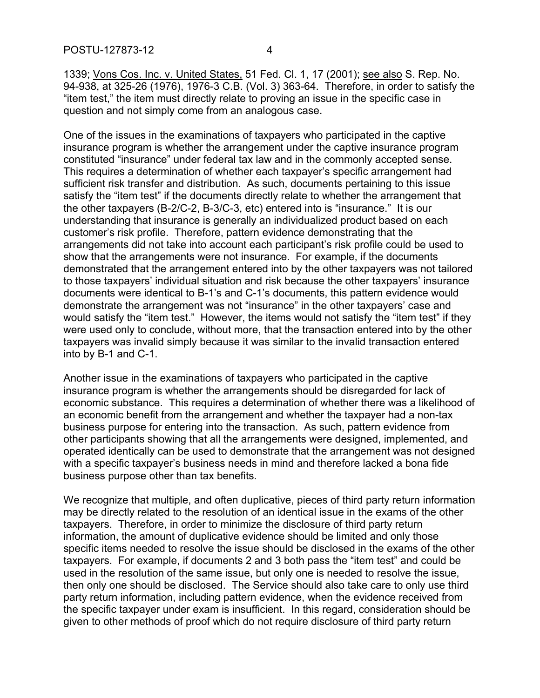1339; Vons Cos. Inc. v. United States, 51 Fed. Cl. 1, 17 (2001); see also S. Rep. No. 94-938, at 325-26 (1976), 1976-3 C.B. (Vol. 3) 363-64. Therefore, in order to satisfy the "item test," the item must directly relate to proving an issue in the specific case in question and not simply come from an analogous case.

One of the issues in the examinations of taxpayers who participated in the captive insurance program is whether the arrangement under the captive insurance program constituted "insurance" under federal tax law and in the commonly accepted sense. This requires a determination of whether each taxpayer's specific arrangement had sufficient risk transfer and distribution. As such, documents pertaining to this issue satisfy the "item test" if the documents directly relate to whether the arrangement that the other taxpayers (B-2/C-2, B-3/C-3, etc) entered into is "insurance." It is our understanding that insurance is generally an individualized product based on each customer's risk profile. Therefore, pattern evidence demonstrating that the arrangements did not take into account each participant's risk profile could be used to show that the arrangements were not insurance. For example, if the documents demonstrated that the arrangement entered into by the other taxpayers was not tailored to those taxpayers' individual situation and risk because the other taxpayers' insurance documents were identical to B-1's and C-1's documents, this pattern evidence would demonstrate the arrangement was not "insurance" in the other taxpayers' case and would satisfy the "item test." However, the items would not satisfy the "item test" if they were used only to conclude, without more, that the transaction entered into by the other taxpayers was invalid simply because it was similar to the invalid transaction entered into by B-1 and C-1.

Another issue in the examinations of taxpayers who participated in the captive insurance program is whether the arrangements should be disregarded for lack of economic substance. This requires a determination of whether there was a likelihood of an economic benefit from the arrangement and whether the taxpayer had a non-tax business purpose for entering into the transaction. As such, pattern evidence from other participants showing that all the arrangements were designed, implemented, and operated identically can be used to demonstrate that the arrangement was not designed with a specific taxpayer's business needs in mind and therefore lacked a bona fide business purpose other than tax benefits.

We recognize that multiple, and often duplicative, pieces of third party return information may be directly related to the resolution of an identical issue in the exams of the other taxpayers. Therefore, in order to minimize the disclosure of third party return information, the amount of duplicative evidence should be limited and only those specific items needed to resolve the issue should be disclosed in the exams of the other taxpayers. For example, if documents 2 and 3 both pass the "item test" and could be used in the resolution of the same issue, but only one is needed to resolve the issue, then only one should be disclosed. The Service should also take care to only use third party return information, including pattern evidence, when the evidence received from the specific taxpayer under exam is insufficient. In this regard, consideration should be given to other methods of proof which do not require disclosure of third party return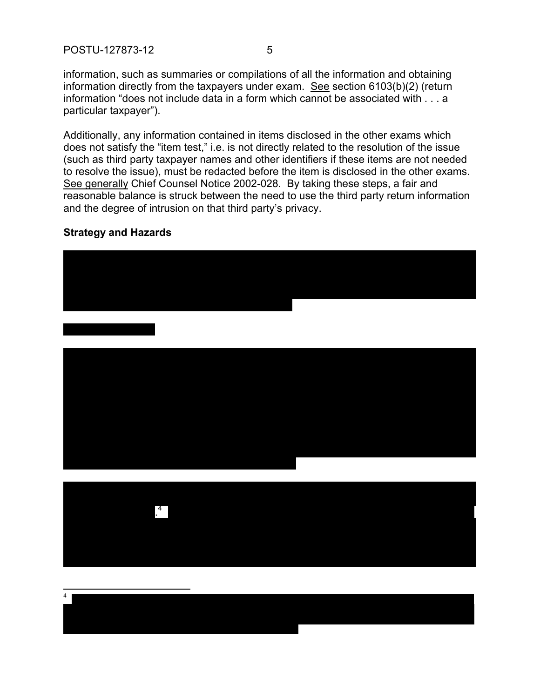#### POSTU-127873-12

5

information, such as summaries or compilations of all the information and obtaining information directly from the taxpayers under exam. See section 6103(b)(2) (return information "does not include data in a form which cannot be associated with . . . a particular taxpayer").

Additionally, any information contained in items disclosed in the other exams which does not satisfy the "item test," i.e. is not directly related to the resolution of the issue (such as third party taxpayer names and other identifiers if these items are not needed to resolve the issue), must be redacted before the item is disclosed in the other exams. See generally Chief Counsel Notice 2002-028. By taking these steps, a fair and reasonable balance is struck between the need to use the third party return information and the degree of intrusion on that third party's privacy.

#### **Strategy and Hazards**



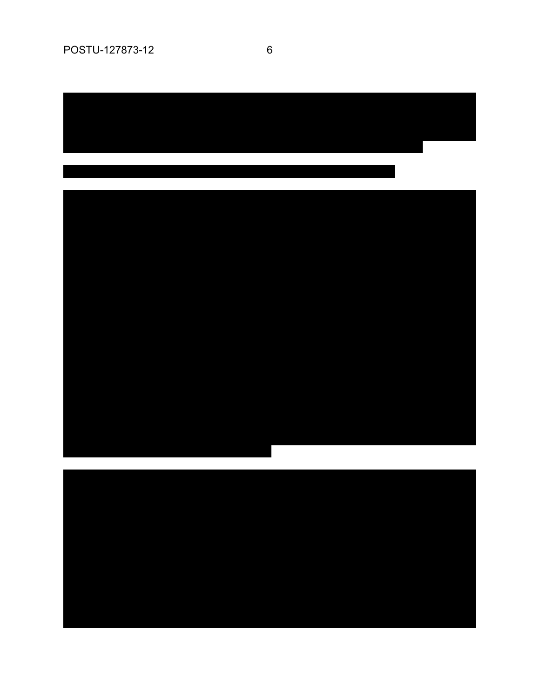

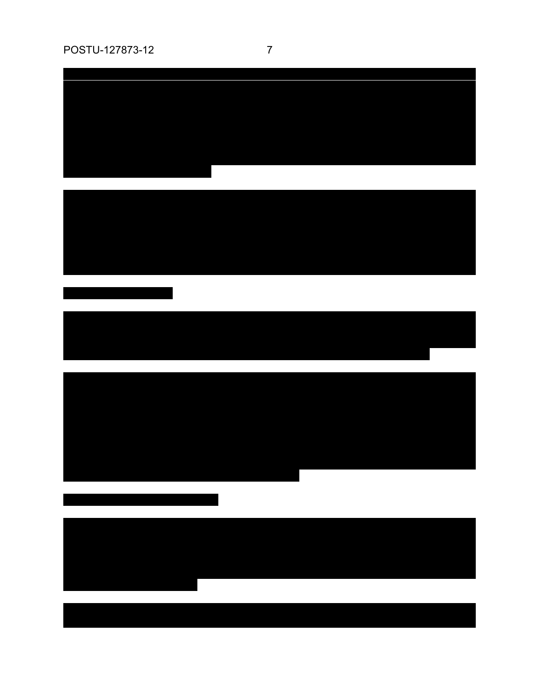### POSTU-127873-12